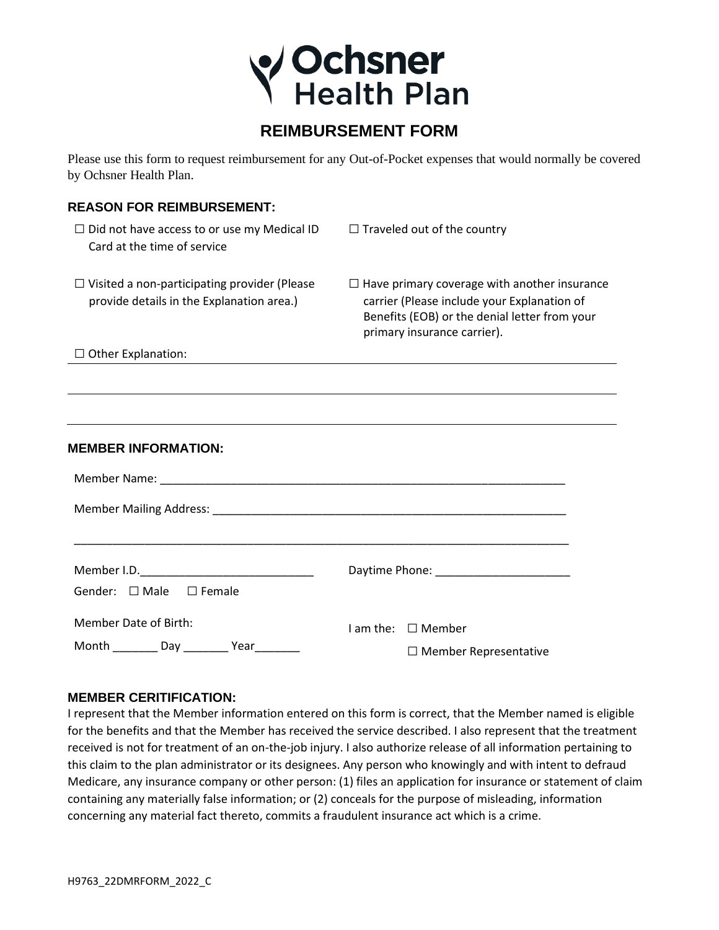

## **REIMBURSEMENT FORM**

Please use this form to request reimbursement for any Out-of-Pocket expenses that would normally be covered by Ochsner Health Plan.

## **REASON FOR REIMBURSEMENT:**

| $\Box$ Did not have access to or use my Medical ID<br>Card at the time of service                | $\Box$ Traveled out of the country                                                                                                                                                 |
|--------------------------------------------------------------------------------------------------|------------------------------------------------------------------------------------------------------------------------------------------------------------------------------------|
| $\Box$ Visited a non-participating provider (Please<br>provide details in the Explanation area.) | $\Box$ Have primary coverage with another insurance<br>carrier (Please include your Explanation of<br>Benefits (EOB) or the denial letter from your<br>primary insurance carrier). |
| $\Box$ Other Explanation:                                                                        | ,我们也不会有什么。""我们的人,我们也不会有什么?""我们的人,我们也不会有什么?""我们的人,我们也不会有什么?""我们的人,我们也不会有什么?""我们的人                                                                                                   |
|                                                                                                  |                                                                                                                                                                                    |
|                                                                                                  |                                                                                                                                                                                    |
|                                                                                                  | ,我们也不会有什么。""我们的人,我们也不会有什么?""我们的人,我们也不会有什么?""我们的人,我们也不会有什么?""我们的人,我们也不会有什么?""我们的人                                                                                                   |
| <b>MEMBER INFORMATION:</b>                                                                       |                                                                                                                                                                                    |
|                                                                                                  |                                                                                                                                                                                    |
|                                                                                                  |                                                                                                                                                                                    |
|                                                                                                  |                                                                                                                                                                                    |
|                                                                                                  |                                                                                                                                                                                    |
| Gender: □ Male □ Female                                                                          |                                                                                                                                                                                    |
| <b>Member Date of Birth:</b>                                                                     | I am the: □ Member                                                                                                                                                                 |
| Month __________ Day __________ Year_________                                                    | $\Box$ Member Representative                                                                                                                                                       |

## **MEMBER CERITIFICATION:**

I represent that the Member information entered on this form is correct, that the Member named is eligible for the benefits and that the Member has received the service described. I also represent that the treatment received is not for treatment of an on-the-job injury. I also authorize release of all information pertaining to this claim to the plan administrator or its designees. Any person who knowingly and with intent to defraud Medicare, any insurance company or other person: (1) files an application for insurance or statement of claim containing any materially false information; or (2) conceals for the purpose of misleading, information concerning any material fact thereto, commits a fraudulent insurance act which is a crime.